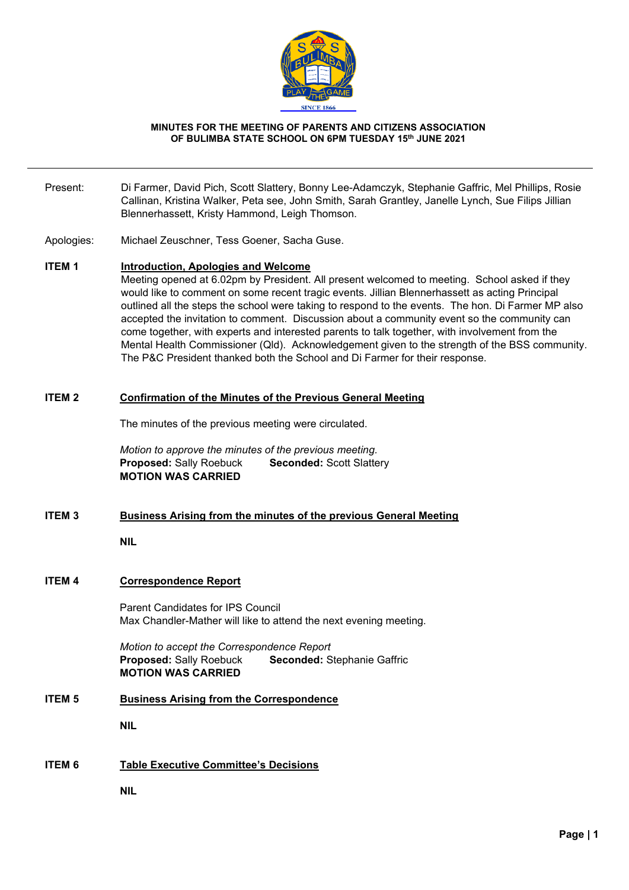

#### **MINUTES FOR THE MEETING OF PARENTS AND CITIZENS ASSOCIATION OF BULIMBA STATE SCHOOL ON 6PM TUESDAY 15th JUNE 2021**

- Present: Di Farmer, David Pich, Scott Slattery, Bonny Lee-Adamczyk, Stephanie Gaffric, Mel Phillips, Rosie Callinan, Kristina Walker, Peta see, John Smith, Sarah Grantley, Janelle Lynch, Sue Filips Jillian Blennerhassett, Kristy Hammond, Leigh Thomson.
- Apologies: Michael Zeuschner, Tess Goener, Sacha Guse.

#### **ITEM 1 Introduction, Apologies and Welcome**

Meeting opened at 6.02pm by President. All present welcomed to meeting. School asked if they would like to comment on some recent tragic events. Jillian Blennerhassett as acting Principal outlined all the steps the school were taking to respond to the events. The hon. Di Farmer MP also accepted the invitation to comment. Discussion about a community event so the community can come together, with experts and interested parents to talk together, with involvement from the Mental Health Commissioner (Qld). Acknowledgement given to the strength of the BSS community. The P&C President thanked both the School and Di Farmer for their response.

#### **ITEM 2 Confirmation of the Minutes of the Previous General Meeting**

The minutes of the previous meeting were circulated.

*Motion to approve the minutes of the previous meeting.* **Proposed: Sally Roebuck Seconded: Scott Slattery MOTION WAS CARRIED**

# **ITEM 3 Business Arising from the minutes of the previous General Meeting**

# **NIL**

# **ITEM 4 Correspondence Report**

Parent Candidates for IPS Council Max Chandler-Mather will like to attend the next evening meeting.

*Motion to accept the Correspondence Report* **Proposed:** Sally Roebuck **Seconded:** Stephanie Gaffric **MOTION WAS CARRIED**

# **ITEM 5 Business Arising from the Correspondence**

**NIL**

# **ITEM 6 Table Executive Committee's Decisions**

**NIL**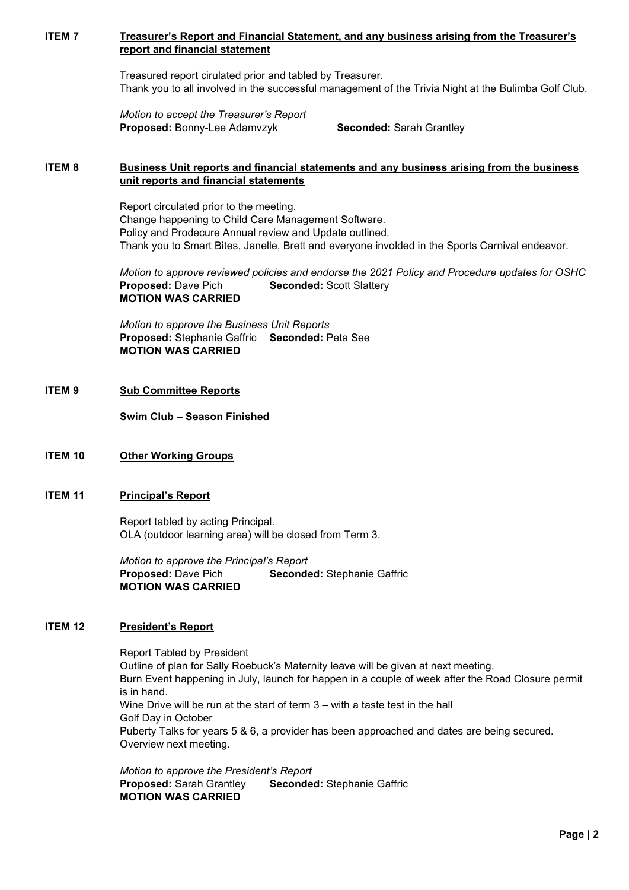# **ITEM 7 Treasurer's Report and Financial Statement, and any business arising from the Treasurer's report and financial statement**

Treasured report cirulated prior and tabled by Treasurer. Thank you to all involved in the successful management of the Trivia Night at the Bulimba Golf Club.

*Motion to accept the Treasurer's Report* **Proposed:** Bonny-Lee Adamvzyk **Seconded:** Sarah Grantley

# **ITEM 8 Business Unit reports and financial statements and any business arising from the business unit reports and financial statements**

Report circulated prior to the meeting. Change happening to Child Care Management Software. Policy and Prodecure Annual review and Update outlined. Thank you to Smart Bites, Janelle, Brett and everyone involded in the Sports Carnival endeavor.

*Motion to approve reviewed policies and endorse the 2021 Policy and Procedure updates for OSHC* **Proposed:** Dave Pich **Seconded:** Scott Slattery **MOTION WAS CARRIED**

*Motion to approve the Business Unit Reports*  **Proposed:** Stephanie Gaffric **Seconded:** Peta See **MOTION WAS CARRIED**

# **ITEM 9 Sub Committee Reports**

**Swim Club – Season Finished**

# **ITEM 10 Other Working Groups**

# **ITEM 11 Principal's Report**

Report tabled by acting Principal. OLA (outdoor learning area) will be closed from Term 3.

*Motion to approve the Principal's Report* **Proposed:** Dave Pich **Seconded:** Stephanie Gaffric **MOTION WAS CARRIED**

# **ITEM 12 President's Report**

Report Tabled by President Outline of plan for Sally Roebuck's Maternity leave will be given at next meeting. Burn Event happening in July, launch for happen in a couple of week after the Road Closure permit is in hand. Wine Drive will be run at the start of term 3 – with a taste test in the hall Golf Day in October Puberty Talks for years 5 & 6, a provider has been approached and dates are being secured. Overview next meeting.

*Motion to approve the President's Report* **Proposed:** Sarah Grantley **Seconded:** Stephanie Gaffric **MOTION WAS CARRIED**